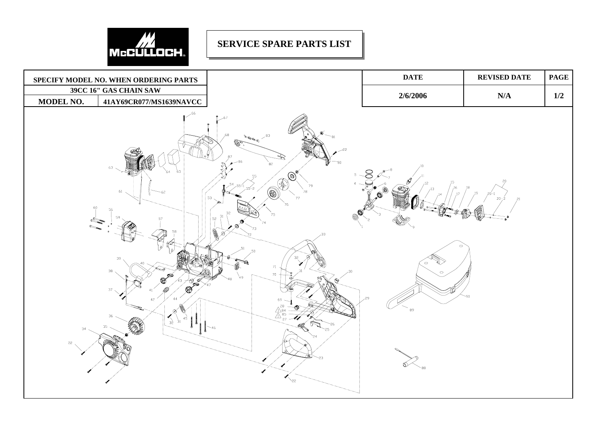

## **SERVICE SPARE PARTS LIST**